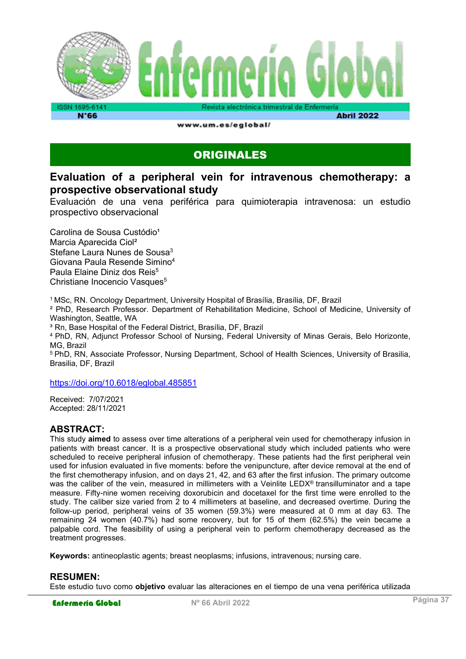

**N°66** 

**Abril 2022** 

www.um.es/eglobal/

### ORIGINALES

### Evaluation of a peripheral vein for intravenous chemotherapy: a prospective observational study

Evaluación de una vena periférica para quimioterapia intravenosa: un estudio prospectivo observacional

Carolina de Sousa Custódio<sup>1</sup> Marcia Aparecida Ciol² Stefane Laura Nunes de Sousa<sup>3</sup> Giovana Paula Resende Simino<sup>4</sup> Paula Elaine Diniz dos Reis<sup>5</sup> Christiane Inocencio Vasques<sup>5</sup>

<sup>1</sup>MSc, RN. Oncology Department, University Hospital of Brasília, Brasília, DF, Brazil

² PhD, Research Professor. Department of Rehabilitation Medicine, School of Medicine, University of Washington, Seattle, WA

<sup>3</sup> Rn, Base Hospital of the Federal District, Brasília, DF, Brazil

<sup>4</sup>PhD, RN, Adjunct Professor School of Nursing, Federal University of Minas Gerais, Belo Horizonte, MG, Brazil

<sup>5</sup> PhD, RN, Associate Professor, Nursing Department, School of Health Sciences, University of Brasilia, Brasilia, DF, Brazil

https://doi.org/10.6018/eglobal.485851

Received: 7/07/2021 Accepted: 28/11/2021

#### ABSTRACT:

This study aimed to assess over time alterations of a peripheral vein used for chemotherapy infusion in patients with breast cancer. It is a prospective observational study which included patients who were scheduled to receive peripheral infusion of chemotherapy. These patients had the first peripheral vein used for infusion evaluated in five moments: before the venipuncture, after device removal at the end of the first chemotherapy infusion, and on days 21, 42, and 63 after the first infusion. The primary outcome was the caliber of the vein, measured in millimeters with a Veinlite LEDX® transilluminator and a tape measure. Fifty-nine women receiving doxorubicin and docetaxel for the first time were enrolled to the study. The caliber size varied from 2 to 4 millimeters at baseline, and decreased overtime. During the follow-up period, peripheral veins of 35 women (59.3%) were measured at 0 mm at day 63. The remaining 24 women (40.7%) had some recovery, but for 15 of them (62.5%) the vein became a palpable cord. The feasibility of using a peripheral vein to perform chemotherapy decreased as the treatment progresses.

Keywords: antineoplastic agents; breast neoplasms; infusions, intravenous; nursing care.

#### RESUMEN:

Este estudio tuvo como objetivo evaluar las alteraciones en el tiempo de una vena periférica utilizada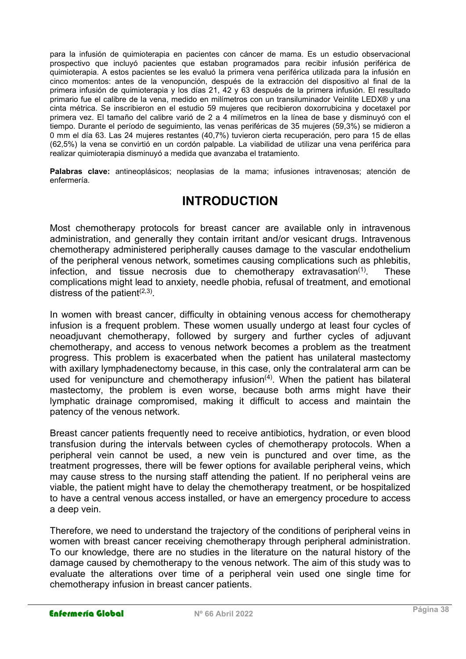para la infusión de quimioterapia en pacientes con cáncer de mama. Es un estudio observacional prospectivo que incluyó pacientes que estaban programados para recibir infusión periférica de quimioterapia. A estos pacientes se les evaluó la primera vena periférica utilizada para la infusión en cinco momentos: antes de la venopunción, después de la extracción del dispositivo al final de la primera infusión de quimioterapia y los días 21, 42 y 63 después de la primera infusión. El resultado primario fue el calibre de la vena, medido en milímetros con un transiluminador Veinlite LEDX® y una cinta métrica. Se inscribieron en el estudio 59 mujeres que recibieron doxorrubicina y docetaxel por primera vez. El tamaño del calibre varió de 2 a 4 milímetros en la línea de base y disminuyó con el tiempo. Durante el período de seguimiento, las venas periféricas de 35 mujeres (59,3%) se midieron a 0 mm el día 63. Las 24 mujeres restantes (40,7%) tuvieron cierta recuperación, pero para 15 de ellas (62,5%) la vena se convirtió en un cordón palpable. La viabilidad de utilizar una vena periférica para realizar quimioterapia disminuyó a medida que avanzaba el tratamiento.

Palabras clave: antineoplásicos; neoplasias de la mama; infusiones intravenosas; atención de enfermería.

### INTRODUCTION

Most chemotherapy protocols for breast cancer are available only in intravenous administration, and generally they contain irritant and/or vesicant drugs. Intravenous chemotherapy administered peripherally causes damage to the vascular endothelium of the peripheral venous network, sometimes causing complications such as phlebitis, infection, and tissue necrosis due to chemotherapy extravasation<sup> $(1)$ </sup>. These complications might lead to anxiety, needle phobia, refusal of treatment, and emotional distress of the patient<sup>(2,3)</sup>.

In women with breast cancer, difficulty in obtaining venous access for chemotherapy infusion is a frequent problem. These women usually undergo at least four cycles of neoadjuvant chemotherapy, followed by surgery and further cycles of adjuvant chemotherapy, and access to venous network becomes a problem as the treatment progress. This problem is exacerbated when the patient has unilateral mastectomy with axillary lymphadenectomy because, in this case, only the contralateral arm can be used for venipuncture and chemotherapy infusion $(4)$ . When the patient has bilateral mastectomy, the problem is even worse, because both arms might have their lymphatic drainage compromised, making it difficult to access and maintain the patency of the venous network.

Breast cancer patients frequently need to receive antibiotics, hydration, or even blood transfusion during the intervals between cycles of chemotherapy protocols. When a peripheral vein cannot be used, a new vein is punctured and over time, as the treatment progresses, there will be fewer options for available peripheral veins, which may cause stress to the nursing staff attending the patient. If no peripheral veins are viable, the patient might have to delay the chemotherapy treatment, or be hospitalized to have a central venous access installed, or have an emergency procedure to access a deep vein.

Therefore, we need to understand the trajectory of the conditions of peripheral veins in women with breast cancer receiving chemotherapy through peripheral administration. To our knowledge, there are no studies in the literature on the natural history of the damage caused by chemotherapy to the venous network. The aim of this study was to evaluate the alterations over time of a peripheral vein used one single time for chemotherapy infusion in breast cancer patients.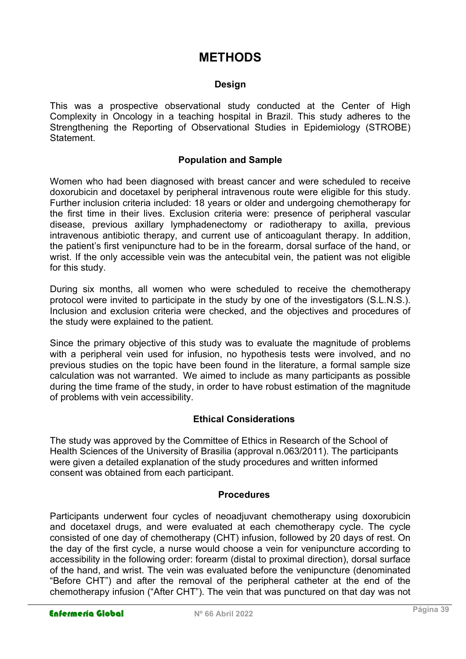## **METHODS**

#### Design

This was a prospective observational study conducted at the Center of High Complexity in Oncology in a teaching hospital in Brazil. This study adheres to the Strengthening the Reporting of Observational Studies in Epidemiology (STROBE) **Statement** 

#### Population and Sample

Women who had been diagnosed with breast cancer and were scheduled to receive doxorubicin and docetaxel by peripheral intravenous route were eligible for this study. Further inclusion criteria included: 18 years or older and undergoing chemotherapy for the first time in their lives. Exclusion criteria were: presence of peripheral vascular disease, previous axillary lymphadenectomy or radiotherapy to axilla, previous intravenous antibiotic therapy, and current use of anticoagulant therapy. In addition, the patient's first venipuncture had to be in the forearm, dorsal surface of the hand, or wrist. If the only accessible vein was the antecubital vein, the patient was not eligible for this study.

During six months, all women who were scheduled to receive the chemotherapy protocol were invited to participate in the study by one of the investigators (S.L.N.S.). Inclusion and exclusion criteria were checked, and the objectives and procedures of the study were explained to the patient.

Since the primary objective of this study was to evaluate the magnitude of problems with a peripheral vein used for infusion, no hypothesis tests were involved, and no previous studies on the topic have been found in the literature, a formal sample size calculation was not warranted. We aimed to include as many participants as possible during the time frame of the study, in order to have robust estimation of the magnitude of problems with vein accessibility.

#### Ethical Considerations

The study was approved by the Committee of Ethics in Research of the School of Health Sciences of the University of Brasilia (approval n.063/2011). The participants were given a detailed explanation of the study procedures and written informed consent was obtained from each participant.

#### Procedures

Participants underwent four cycles of neoadjuvant chemotherapy using doxorubicin and docetaxel drugs, and were evaluated at each chemotherapy cycle. The cycle consisted of one day of chemotherapy (CHT) infusion, followed by 20 days of rest. On the day of the first cycle, a nurse would choose a vein for venipuncture according to accessibility in the following order: forearm (distal to proximal direction), dorsal surface of the hand, and wrist. The vein was evaluated before the venipuncture (denominated "Before CHT") and after the removal of the peripheral catheter at the end of the chemotherapy infusion ("After CHT"). The vein that was punctured on that day was not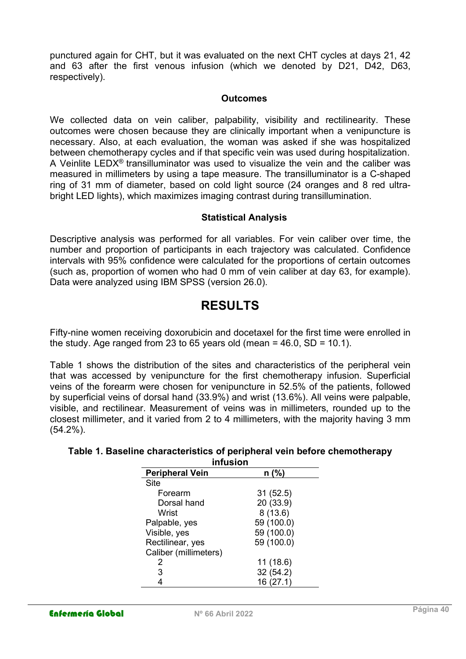punctured again for CHT, but it was evaluated on the next CHT cycles at days 21, 42 and 63 after the first venous infusion (which we denoted by D21, D42, D63, respectively).

#### **Outcomes**

We collected data on vein caliber, palpability, visibility and rectilinearity. These outcomes were chosen because they are clinically important when a venipuncture is necessary. Also, at each evaluation, the woman was asked if she was hospitalized between chemotherapy cycles and if that specific vein was used during hospitalization. A Veinlite LEDX<sup>®</sup> transilluminator was used to visualize the vein and the caliber was measured in millimeters by using a tape measure. The transilluminator is a C-shaped ring of 31 mm of diameter, based on cold light source (24 oranges and 8 red ultrabright LED lights), which maximizes imaging contrast during transillumination.

#### Statistical Analysis

Descriptive analysis was performed for all variables. For vein caliber over time, the number and proportion of participants in each trajectory was calculated. Confidence intervals with 95% confidence were calculated for the proportions of certain outcomes (such as, proportion of women who had 0 mm of vein caliber at day 63, for example). Data were analyzed using IBM SPSS (version 26.0).

## RESULTS

Fifty-nine women receiving doxorubicin and docetaxel for the first time were enrolled in the study. Age ranged from 23 to 65 years old (mean  $=$  46.0, SD  $=$  10.1).

Table 1 shows the distribution of the sites and characteristics of the peripheral vein that was accessed by venipuncture for the first chemotherapy infusion. Superficial veins of the forearm were chosen for venipuncture in 52.5% of the patients, followed by superficial veins of dorsal hand (33.9%) and wrist (13.6%). All veins were palpable, visible, and rectilinear. Measurement of veins was in millimeters, rounded up to the closest millimeter, and it varied from 2 to 4 millimeters, with the majority having 3 mm (54.2%).

#### Table 1. Baseline characteristics of peripheral vein before chemotherapy infusion

| 1111u31UH              |            |  |  |  |  |  |  |
|------------------------|------------|--|--|--|--|--|--|
| <b>Peripheral Vein</b> | $n$ (%)    |  |  |  |  |  |  |
| Site                   |            |  |  |  |  |  |  |
| Forearm                | 31(52.5)   |  |  |  |  |  |  |
| Dorsal hand            | 20 (33.9)  |  |  |  |  |  |  |
| Wrist                  | 8(13.6)    |  |  |  |  |  |  |
| Palpable, yes          | 59 (100.0) |  |  |  |  |  |  |
| Visible, yes           | 59 (100.0) |  |  |  |  |  |  |
| Rectilinear, yes       | 59 (100.0) |  |  |  |  |  |  |
| Caliber (millimeters)  |            |  |  |  |  |  |  |
| 2                      | 11(18.6)   |  |  |  |  |  |  |
| 3                      | 32(54.2)   |  |  |  |  |  |  |
|                        | 16(27.1)   |  |  |  |  |  |  |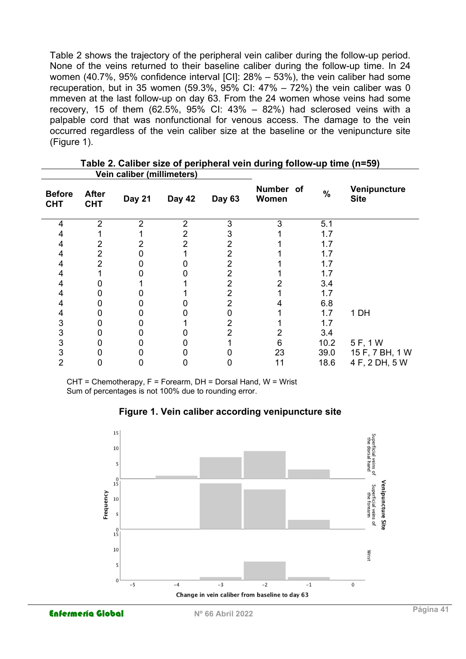Table 2 shows the trajectory of the peripheral vein caliber during the follow-up period. None of the veins returned to their baseline caliber during the follow-up time. In 24 women (40.7%, 95% confidence interval [CI]: 28% – 53%), the vein caliber had some recuperation, but in 35 women (59.3%, 95% CI:  $47\% - 72\%$ ) the vein caliber was 0 mmeven at the last follow-up on day 63. From the 24 women whose veins had some recovery, 15 of them  $(62.5\%, 95\%$  CI:  $43\% - 82\%)$  had sclerosed veins with a palpable cord that was nonfunctional for venous access. The damage to the vein occurred regardless of the vein caliber size at the baseline or the venipuncture site (Figure 1).

| Vein caliber (millimeters)  |                            |                |                |               |                    |      |                             |
|-----------------------------|----------------------------|----------------|----------------|---------------|--------------------|------|-----------------------------|
| <b>Before</b><br><b>CHT</b> | <b>After</b><br><b>CHT</b> | <b>Day 21</b>  | Day 42         | <b>Day 63</b> | Number of<br>Women | $\%$ | Venipuncture<br><b>Site</b> |
| 4                           | $\overline{2}$             | $\overline{2}$ | $\overline{2}$ | 3             | 3                  | 5.1  |                             |
|                             |                            |                | 2              | 3             |                    | 1.7  |                             |
| 4                           |                            |                | 2              | 2             |                    | 1.7  |                             |
| 4                           | 2                          |                |                | 2             |                    | 1.7  |                             |
| 4                           | 2                          |                |                | 2             |                    | 1.7  |                             |
| 4                           |                            |                |                | 2             |                    | 1.7  |                             |
| 4                           |                            |                |                | 2             |                    | 3.4  |                             |
| 4                           |                            |                |                | 2             |                    | 1.7  |                             |
| 4                           |                            |                |                | 2             |                    | 6.8  |                             |
| 4                           |                            |                |                |               |                    | 1.7  | 1 DH                        |
| 3                           |                            |                |                |               |                    | 1.7  |                             |
| 3                           |                            |                |                | 2             | 2                  | 3.4  |                             |
| 3                           |                            |                |                |               | 6                  | 10.2 | 5 F, 1 W                    |
| 3                           |                            |                |                |               | 23                 | 39.0 | 15 F, 7 BH, 1 W             |
| 2                           |                            |                |                |               | 11                 | 18.6 | 4 F, 2 DH, 5 W              |

| Table 2. Caliber size of peripheral vein during follow-up time (n=59) |
|-----------------------------------------------------------------------|
| Aleta exiting and antificant format                                   |

CHT = Chemotherapy, F = Forearm, DH = Dorsal Hand, W = Wrist Sum of percentages is not 100% due to rounding error.



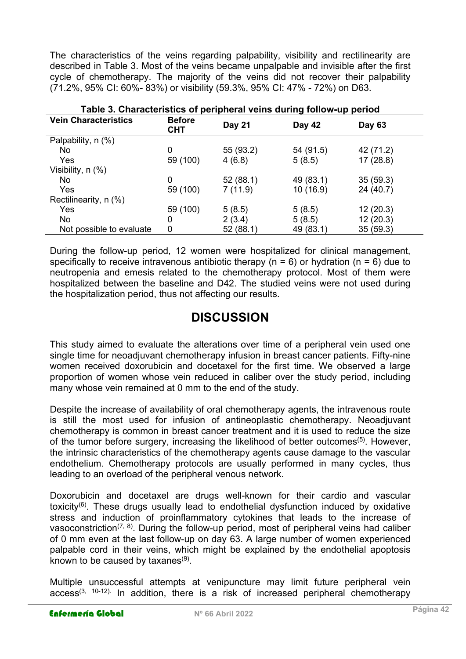The characteristics of the veins regarding palpability, visibility and rectilinearity are described in Table 3. Most of the veins became unpalpable and invisible after the first cycle of chemotherapy. The majority of the veins did not recover their palpability (71.2%, 95% CI: 60%- 83%) or visibility (59.3%, 95% CI: 47% - 72%) on D63.

| Table 3. Characteristics of peripheral veins during follow-up period |                             |               |           |           |  |  |  |
|----------------------------------------------------------------------|-----------------------------|---------------|-----------|-----------|--|--|--|
| <b>Vein Characteristics</b>                                          | <b>Before</b><br><b>CHT</b> | <b>Day 21</b> | Day 42    | Day 63    |  |  |  |
| Palpability, n (%)                                                   |                             |               |           |           |  |  |  |
| No.                                                                  | 0                           | 55 (93.2)     | 54 (91.5) | 42 (71.2) |  |  |  |
| Yes                                                                  | 59 (100)                    | 4(6.8)        | 5(8.5)    | 17(28.8)  |  |  |  |
| Visibility, n (%)                                                    |                             |               |           |           |  |  |  |
| No.                                                                  | 0                           | 52(88.1)      | 49 (83.1) | 35(59.3)  |  |  |  |
| Yes                                                                  | 59 (100)                    | 7(11.9)       | 10 (16.9) | 24 (40.7) |  |  |  |
| Rectilinearity, n (%)                                                |                             |               |           |           |  |  |  |
| Yes                                                                  | 59 (100)                    | 5(8.5)        | 5(8.5)    | 12(20.3)  |  |  |  |
| No                                                                   | 0                           | 2(3.4)        | 5(8.5)    | 12(20.3)  |  |  |  |
| Not possible to evaluate                                             | 0                           | 52(88.1)      | 49 (83.1) | 35(59.3)  |  |  |  |

During the follow-up period, 12 women were hospitalized for clinical management, specifically to receive intravenous antibiotic therapy ( $n = 6$ ) or hydration ( $n = 6$ ) due to neutropenia and emesis related to the chemotherapy protocol. Most of them were hospitalized between the baseline and D42. The studied veins were not used during the hospitalization period, thus not affecting our results.

## **DISCUSSION**

This study aimed to evaluate the alterations over time of a peripheral vein used one single time for neoadjuvant chemotherapy infusion in breast cancer patients. Fifty-nine women received doxorubicin and docetaxel for the first time. We observed a large proportion of women whose vein reduced in caliber over the study period, including many whose vein remained at 0 mm to the end of the study.

Despite the increase of availability of oral chemotherapy agents, the intravenous route is still the most used for infusion of antineoplastic chemotherapy. Neoadjuvant chemotherapy is common in breast cancer treatment and it is used to reduce the size of the tumor before surgery, increasing the likelihood of better outcomes<sup>(5)</sup>. However, the intrinsic characteristics of the chemotherapy agents cause damage to the vascular endothelium. Chemotherapy protocols are usually performed in many cycles, thus leading to an overload of the peripheral venous network.

Doxorubicin and docetaxel are drugs well-known for their cardio and vascular toxicity<sup>(6)</sup>. These drugs usually lead to endothelial dysfunction induced by oxidative stress and induction of proinflammatory cytokines that leads to the increase of vasoconstriction<sup>(7, 8)</sup>. During the follow-up period, most of peripheral veins had caliber of 0 mm even at the last follow-up on day 63. A large number of women experienced palpable cord in their veins, which might be explained by the endothelial apoptosis known to be caused by taxanes ${}^{(9)}.$ 

Multiple unsuccessful attempts at venipuncture may limit future peripheral vein  $access^{(3, 10-12)}$ . In addition, there is a risk of increased peripheral chemotherapy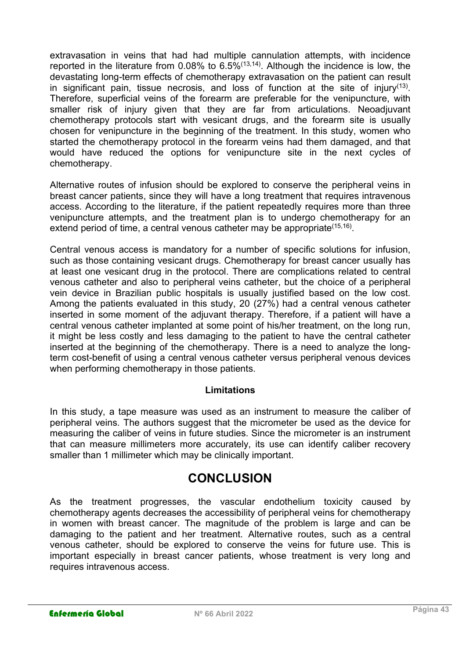extravasation in veins that had had multiple cannulation attempts, with incidence reported in the literature from 0.08% to  $6.5\%$ <sup> $(13,14)$ </sup>. Although the incidence is low, the devastating long-term effects of chemotherapy extravasation on the patient can result in significant pain, tissue necrosis, and loss of function at the site of injury<sup>(13)</sup>. Therefore, superficial veins of the forearm are preferable for the venipuncture, with smaller risk of injury given that they are far from articulations. Neoadjuvant chemotherapy protocols start with vesicant drugs, and the forearm site is usually chosen for venipuncture in the beginning of the treatment. In this study, women who started the chemotherapy protocol in the forearm veins had them damaged, and that would have reduced the options for venipuncture site in the next cycles of chemotherapy.

Alternative routes of infusion should be explored to conserve the peripheral veins in breast cancer patients, since they will have a long treatment that requires intravenous access. According to the literature, if the patient repeatedly requires more than three venipuncture attempts, and the treatment plan is to undergo chemotherapy for an extend period of time, a central venous catheter may be appropriate<sup>(15,16)</sup>.

Central venous access is mandatory for a number of specific solutions for infusion, such as those containing vesicant drugs. Chemotherapy for breast cancer usually has at least one vesicant drug in the protocol. There are complications related to central venous catheter and also to peripheral veins catheter, but the choice of a peripheral vein device in Brazilian public hospitals is usually justified based on the low cost. Among the patients evaluated in this study, 20 (27%) had a central venous catheter inserted in some moment of the adjuvant therapy. Therefore, if a patient will have a central venous catheter implanted at some point of his/her treatment, on the long run, it might be less costly and less damaging to the patient to have the central catheter inserted at the beginning of the chemotherapy. There is a need to analyze the longterm cost-benefit of using a central venous catheter versus peripheral venous devices when performing chemotherapy in those patients.

### Limitations

In this study, a tape measure was used as an instrument to measure the caliber of peripheral veins. The authors suggest that the micrometer be used as the device for measuring the caliber of veins in future studies. Since the micrometer is an instrument that can measure millimeters more accurately, its use can identify caliber recovery smaller than 1 millimeter which may be clinically important.

### **CONCLUSION**

As the treatment progresses, the vascular endothelium toxicity caused by chemotherapy agents decreases the accessibility of peripheral veins for chemotherapy in women with breast cancer. The magnitude of the problem is large and can be damaging to the patient and her treatment. Alternative routes, such as a central venous catheter, should be explored to conserve the veins for future use. This is important especially in breast cancer patients, whose treatment is very long and requires intravenous access.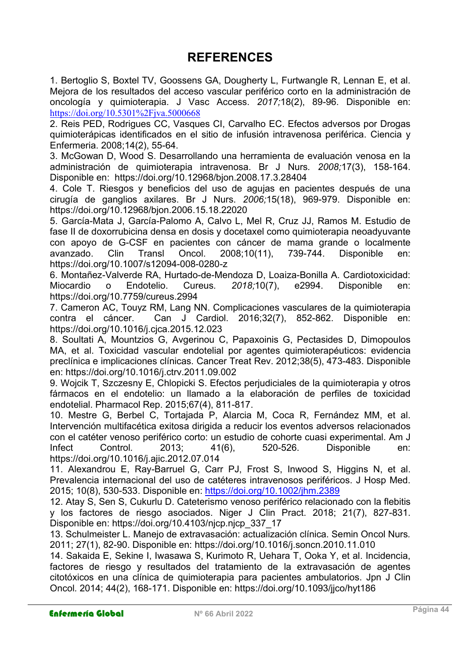# REFERENCES

1. Bertoglio S, Boxtel TV, Goossens GA, Dougherty L, Furtwangle R, Lennan E, et al. Mejora de los resultados del acceso vascular periférico corto en la administración de oncología y quimioterapia. J Vasc Access. 2017;18(2), 89-96. Disponible en: https://doi.org/10.5301%2Fjva.5000668

2. Reis PED, Rodrigues CC, Vasques CI, Carvalho EC. Efectos adversos por Drogas quimioterápicas identificados en el sitio de infusión intravenosa periférica. Ciencia y Enfermeria. 2008;14(2), 55-64.

3. McGowan D, Wood S. Desarrollando una herramienta de evaluación venosa en la administración de quimioterapia intravenosa. Br J Nurs. 2008;17(3), 158-164. Disponible en: https://doi.org/10.12968/bjon.2008.17.3.28404

4. Cole T. Riesgos y beneficios del uso de agujas en pacientes después de una cirugía de ganglios axilares. Br J Nurs. 2006;15(18), 969-979. Disponible en: https://doi.org/10.12968/bjon.2006.15.18.22020

5. García-Mata J, García-Palomo A, Calvo L, Mel R, Cruz JJ, Ramos M. Estudio de fase II de doxorrubicina densa en dosis y docetaxel como quimioterapia neoadyuvante con apoyo de G-CSF en pacientes con cáncer de mama grande o localmente avanzado. Clin Transl Oncol. 2008;10(11), 739-744. Disponible en: https://doi.org/10.1007/s12094-008-0280-z

6. Montañez-Valverde RA, Hurtado-de-Mendoza D, Loaiza-Bonilla A. Cardiotoxicidad: Miocardio o Endotelio. Cureus. 2018;10(7), e2994. Disponible en: https://doi.org/10.7759/cureus.2994

7. Cameron AC, Touyz RM, Lang NN. Complicaciones vasculares de la quimioterapia contra el cáncer. Can J Cardiol. 2016;32(7), 852-862. Disponible en: https://doi.org/10.1016/j.cjca.2015.12.023

8. Soultati A, Mountzios G, Avgerinou C, Papaxoinis G, Pectasides D, Dimopoulos MA, et al. Toxicidad vascular endotelial por agentes quimioterapéuticos: evidencia preclínica e implicaciones clínicas. Cancer Treat Rev. 2012;38(5), 473-483. Disponible en: https://doi.org/10.1016/j.ctrv.2011.09.002

9. Wojcik T, Szczesny E, Chlopicki S. Efectos perjudiciales de la quimioterapia y otros fármacos en el endotelio: un llamado a la elaboración de perfiles de toxicidad endotelial. Pharmacol Rep. 2015;67(4), 811-817.

10. Mestre G, Berbel C, Tortajada P, Alarcia M, Coca R, Fernández MM, et al. Intervención multifacética exitosa dirigida a reducir los eventos adversos relacionados con el catéter venoso periférico corto: un estudio de cohorte cuasi experimental. Am J Infect Control. 2013; 41(6), 520-526. Disponible en: https://doi.org/10.1016/j.ajic.2012.07.014

11. Alexandrou E, Ray-Barruel G, Carr PJ, Frost S, Inwood S, Higgins N, et al. Prevalencia internacional del uso de catéteres intravenosos periféricos. J Hosp Med. 2015; 10(8), 530-533. Disponible en: https://doi.org/10.1002/jhm.2389

12. Atay S, Sen S, Cukurlu D. Cateterismo venoso periférico relacionado con la flebitis y los factores de riesgo asociados. Niger J Clin Pract. 2018; 21(7), 827-831. Disponible en: https://doi.org/10.4103/njcp.njcp\_337\_17

13. Schulmeister L. Manejo de extravasación: actualización clínica. Semin Oncol Nurs. 2011; 27(1), 82-90. Disponible en: https://doi.org/10.1016/j.soncn.2010.11.010

14. Sakaida E, Sekine I, Iwasawa S, Kurimoto R, Uehara T, Ooka Y, et al. Incidencia, factores de riesgo y resultados del tratamiento de la extravasación de agentes citotóxicos en una clínica de quimioterapia para pacientes ambulatorios. Jpn J Clin Oncol. 2014; 44(2), 168-171. Disponible en: https://doi.org/10.1093/jjco/hyt186